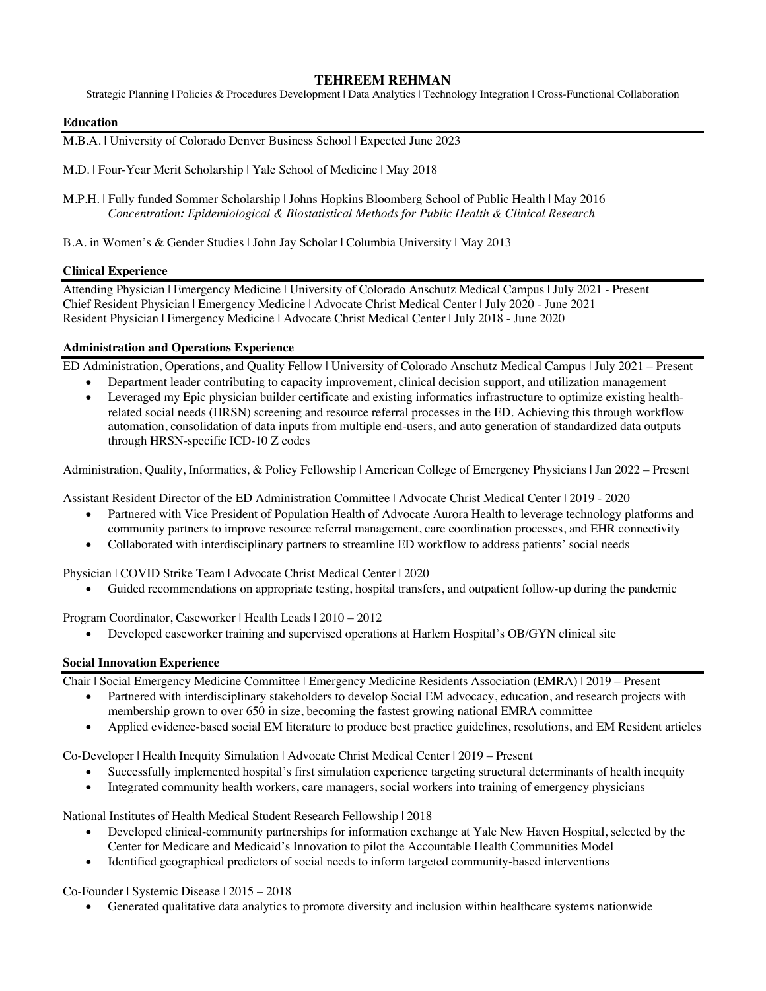# **TEHREEM REHMAN**

Strategic Planning | Policies & Procedures Development | Data Analytics | Technology Integration | Cross-Functional Collaboration

#### **Education**

M.B.A. | University of Colorado Denver Business School | Expected June 2023

M.D. | Four-Year Merit Scholarship | Yale School of Medicine | May 2018

M.P.H. | Fully funded Sommer Scholarship | Johns Hopkins Bloomberg School of Public Health | May 2016 *Concentration: Epidemiological & Biostatistical Methods for Public Health & Clinical Research*

B.A. in Women's & Gender Studies | John Jay Scholar | Columbia University | May 2013

### **Clinical Experience**

Attending Physician | Emergency Medicine | University of Colorado Anschutz Medical Campus | July 2021 - Present Chief Resident Physician | Emergency Medicine | Advocate Christ Medical Center | July 2020 - June 2021 Resident Physician | Emergency Medicine | Advocate Christ Medical Center | July 2018 - June 2020

### **Administration and Operations Experience**

ED Administration, Operations, and Quality Fellow | University of Colorado Anschutz Medical Campus | July 2021 – Present

• Department leader contributing to capacity improvement, clinical decision support, and utilization management • Leveraged my Epic physician builder certificate and existing informatics infrastructure to optimize existing healthrelated social needs (HRSN) screening and resource referral processes in the ED. Achieving this through workflow automation, consolidation of data inputs from multiple end-users, and auto generation of standardized data outputs through HRSN-specific ICD-10 Z codes

Administration, Quality, Informatics, & Policy Fellowship | American College of Emergency Physicians | Jan 2022 – Present

Assistant Resident Director of the ED Administration Committee | Advocate Christ Medical Center | 2019 - 2020

- Partnered with Vice President of Population Health of Advocate Aurora Health to leverage technology platforms and community partners to improve resource referral management, care coordination processes, and EHR connectivity
- Collaborated with interdisciplinary partners to streamline ED workflow to address patients' social needs

Physician | COVID Strike Team | Advocate Christ Medical Center | 2020

• Guided recommendations on appropriate testing, hospital transfers, and outpatient follow-up during the pandemic

Program Coordinator, Caseworker | Health Leads | 2010 – 2012

• Developed caseworker training and supervised operations at Harlem Hospital's OB/GYN clinical site

## **Social Innovation Experience**

Chair | Social Emergency Medicine Committee | Emergency Medicine Residents Association (EMRA) | 2019 – Present

- Partnered with interdisciplinary stakeholders to develop Social EM advocacy, education, and research projects with membership grown to over 650 in size, becoming the fastest growing national EMRA committee
- Applied evidence-based social EM literature to produce best practice guidelines, resolutions, and EM Resident articles

Co-Developer | Health Inequity Simulation | Advocate Christ Medical Center | 2019 – Present

- Successfully implemented hospital's first simulation experience targeting structural determinants of health inequity
- Integrated community health workers, care managers, social workers into training of emergency physicians

National Institutes of Health Medical Student Research Fellowship | 2018

- Developed clinical-community partnerships for information exchange at Yale New Haven Hospital, selected by the Center for Medicare and Medicaid's Innovation to pilot the Accountable Health Communities Model
- Identified geographical predictors of social needs to inform targeted community-based interventions

Co-Founder | Systemic Disease | 2015 – 2018

• Generated qualitative data analytics to promote diversity and inclusion within healthcare systems nationwide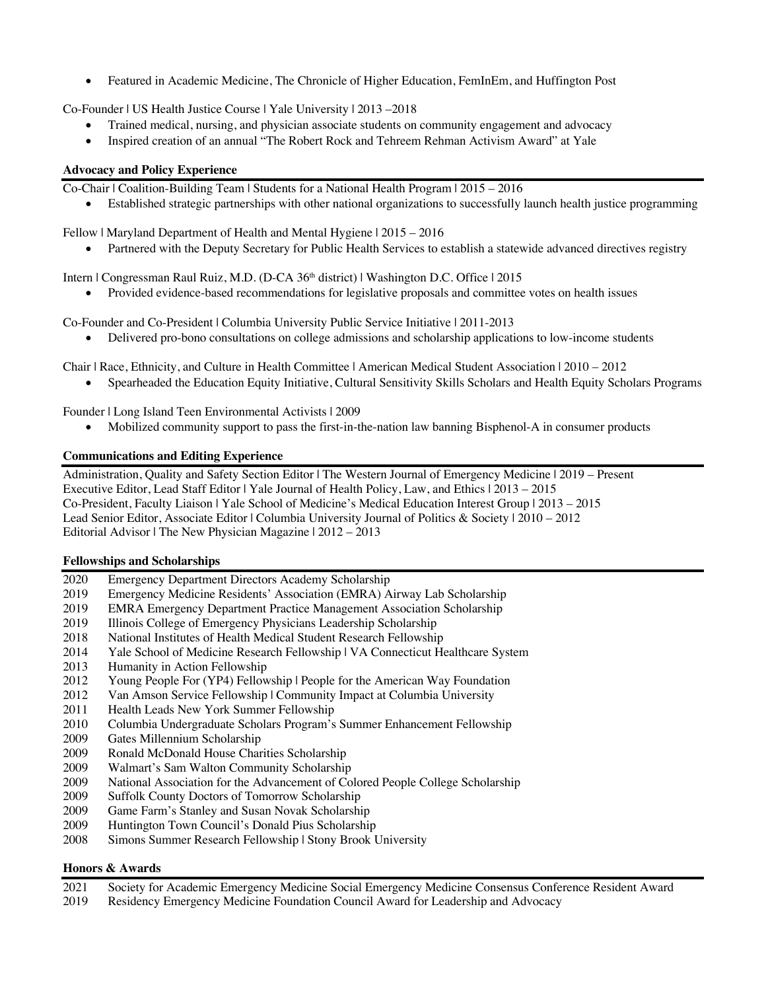• Featured in Academic Medicine, The Chronicle of Higher Education, FemInEm, and Huffington Post

Co-Founder | US Health Justice Course | Yale University | 2013 –2018

- Trained medical, nursing, and physician associate students on community engagement and advocacy
- Inspired creation of an annual "The Robert Rock and Tehreem Rehman Activism Award" at Yale

# **Advocacy and Policy Experience**

Co-Chair | Coalition-Building Team | Students for a National Health Program | 2015 – 2016

• Established strategic partnerships with other national organizations to successfully launch health justice programming

Fellow | Maryland Department of Health and Mental Hygiene | 2015 – 2016

Partnered with the Deputy Secretary for Public Health Services to establish a statewide advanced directives registry

Intern | Congressman Raul Ruiz, M.D. (D-CA 36th district) | Washington D.C. Office | 2015

• Provided evidence-based recommendations for legislative proposals and committee votes on health issues

Co-Founder and Co-President | Columbia University Public Service Initiative | 2011-2013

• Delivered pro-bono consultations on college admissions and scholarship applications to low-income students

Chair | Race, Ethnicity, and Culture in Health Committee | American Medical Student Association | 2010 – 2012

• Spearheaded the Education Equity Initiative, Cultural Sensitivity Skills Scholars and Health Equity Scholars Programs

Founder | Long Island Teen Environmental Activists | 2009

• Mobilized community support to pass the first-in-the-nation law banning Bisphenol-A in consumer products

### **Communications and Editing Experience**

Administration, Quality and Safety Section Editor | The Western Journal of Emergency Medicine | 2019 – Present Executive Editor, Lead Staff Editor | Yale Journal of Health Policy, Law, and Ethics | 2013 – 2015 Co-President, Faculty Liaison | Yale School of Medicine's Medical Education Interest Group | 2013 – 2015 Lead Senior Editor, Associate Editor | Columbia University Journal of Politics & Society | 2010 – 2012 Editorial Advisor | The New Physician Magazine | 2012 – 2013

## **Fellowships and Scholarships**

- 2020 Emergency Department Directors Academy Scholarship
- 2019 Emergency Medicine Residents' Association (EMRA) Airway Lab Scholarship
- 2019 EMRA Emergency Department Practice Management Association Scholarship
- 2019 Illinois College of Emergency Physicians Leadership Scholarship
- 2018 National Institutes of Health Medical Student Research Fellowship
- 2014 Yale School of Medicine Research Fellowship | VA Connecticut Healthcare System
- 2013 Humanity in Action Fellowship
- 2012 Young People For (YP4) Fellowship | People for the American Way Foundation
- 2012 Van Amson Service Fellowship | Community Impact at Columbia University
- 2011 Health Leads New York Summer Fellowship
- 2010 Columbia Undergraduate Scholars Program's Summer Enhancement Fellowship
- 2009 Gates Millennium Scholarship
- 2009 Ronald McDonald House Charities Scholarship
- 2009 Walmart's Sam Walton Community Scholarship
- 2009 National Association for the Advancement of Colored People College Scholarship
- 2009 Suffolk County Doctors of Tomorrow Scholarship
- 2009 Game Farm's Stanley and Susan Novak Scholarship
- 2009 Huntington Town Council's Donald Pius Scholarship
- Simons Summer Research Fellowship | Stony Brook University

## **Honors & Awards**

- 2021 Society for Academic Emergency Medicine Social Emergency Medicine Consensus Conference Resident Award
- 2019 Residency Emergency Medicine Foundation Council Award for Leadership and Advocacy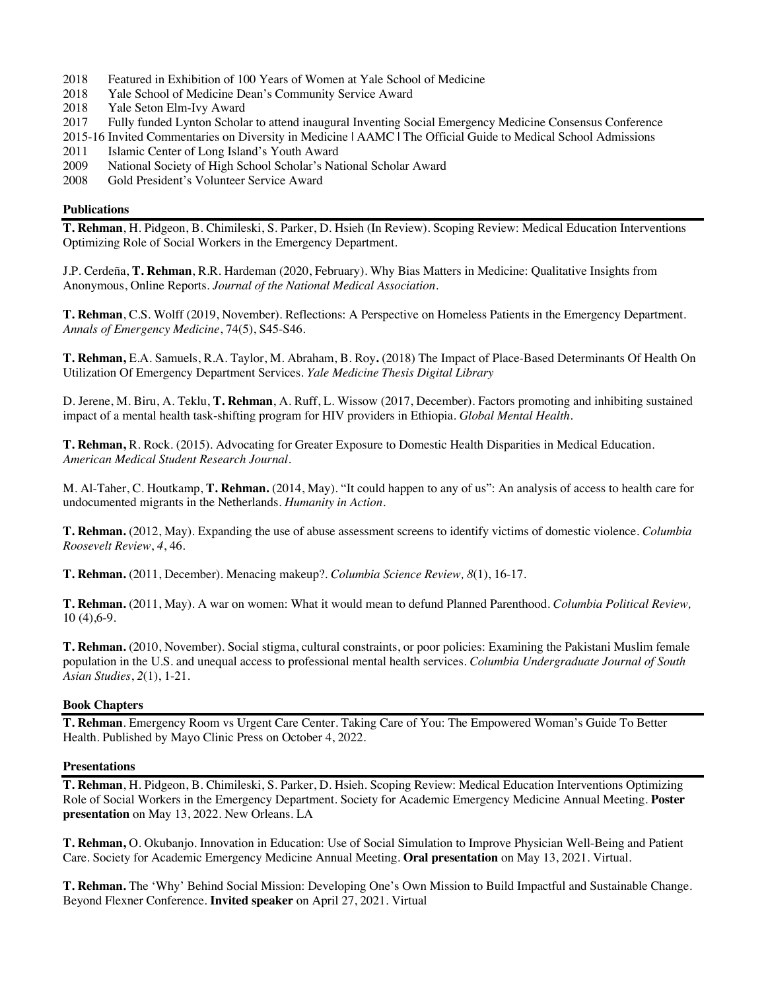- 2018 Featured in Exhibition of 100 Years of Women at Yale School of Medicine
- 2018 Yale School of Medicine Dean's Community Service Award
- 2018 Yale Seton Elm-Ivy Award
- 2017 Fully funded Lynton Scholar to attend inaugural Inventing Social Emergency Medicine Consensus Conference
- 2015-16 Invited Commentaries on Diversity in Medicine | AAMC | The Official Guide to Medical School Admissions
- 2011 Islamic Center of Long Island's Youth Award<br>2009 National Society of High School Scholar's Na
- National Society of High School Scholar's National Scholar Award
- 2008 Gold President's Volunteer Service Award

### **Publications**

**T. Rehman**, H. Pidgeon, B. Chimileski, S. Parker, D. Hsieh (In Review). Scoping Review: Medical Education Interventions Optimizing Role of Social Workers in the Emergency Department.

J.P. Cerdeña, **T. Rehman**, R.R. Hardeman (2020, February). Why Bias Matters in Medicine: Qualitative Insights from Anonymous, Online Reports. *Journal of the National Medical Association*.

**T. Rehman**, C.S. Wolff (2019, November). Reflections: A Perspective on Homeless Patients in the Emergency Department. *Annals of Emergency Medicine*, 74(5), S45-S46.

**T. Rehman,** E.A. Samuels, R.A. Taylor, M. Abraham, B. Roy**.** (2018) The Impact of Place-Based Determinants Of Health On Utilization Of Emergency Department Services. *Yale Medicine Thesis Digital Library*

D. Jerene, M. Biru, A. Teklu, **T. Rehman**, A. Ruff, L. Wissow (2017, December). Factors promoting and inhibiting sustained impact of a mental health task-shifting program for HIV providers in Ethiopia. *Global Mental Health.*

**T. Rehman,** R. Rock. (2015). Advocating for Greater Exposure to Domestic Health Disparities in Medical Education. *American Medical Student Research Journal.* 

M. Al-Taher, C. Houtkamp, **T. Rehman.** (2014, May). "It could happen to any of us": An analysis of access to health care for undocumented migrants in the Netherlands. *Humanity in Action.*

**T. Rehman.** (2012, May). Expanding the use of abuse assessment screens to identify victims of domestic violence. *Columbia Roosevelt Review*, *4*, 46.

**T. Rehman.** (2011, December). Menacing makeup?. *Columbia Science Review, 8*(1), 16-17.

**T. Rehman.** (2011, May). A war on women: What it would mean to defund Planned Parenthood. *Columbia Political Review,*  10 (4),6-9.

**T. Rehman.** (2010, November). Social stigma, cultural constraints, or poor policies: Examining the Pakistani Muslim female population in the U.S. and unequal access to professional mental health services. *Columbia Undergraduate Journal of South Asian Studies*, *2*(1), 1-21.

#### **Book Chapters**

**T. Rehman**. Emergency Room vs Urgent Care Center. Taking Care of You: The Empowered Woman's Guide To Better Health. Published by Mayo Clinic Press on October 4, 2022.

#### **Presentations**

**T. Rehman**, H. Pidgeon, B. Chimileski, S. Parker, D. Hsieh. Scoping Review: Medical Education Interventions Optimizing Role of Social Workers in the Emergency Department. Society for Academic Emergency Medicine Annual Meeting. **Poster presentation** on May 13, 2022. New Orleans. LA

**T. Rehman,** O. Okubanjo. Innovation in Education: Use of Social Simulation to Improve Physician Well-Being and Patient Care. Society for Academic Emergency Medicine Annual Meeting. **Oral presentation** on May 13, 2021. Virtual.

**T. Rehman.** The 'Why' Behind Social Mission: Developing One's Own Mission to Build Impactful and Sustainable Change. Beyond Flexner Conference. **Invited speaker** on April 27, 2021. Virtual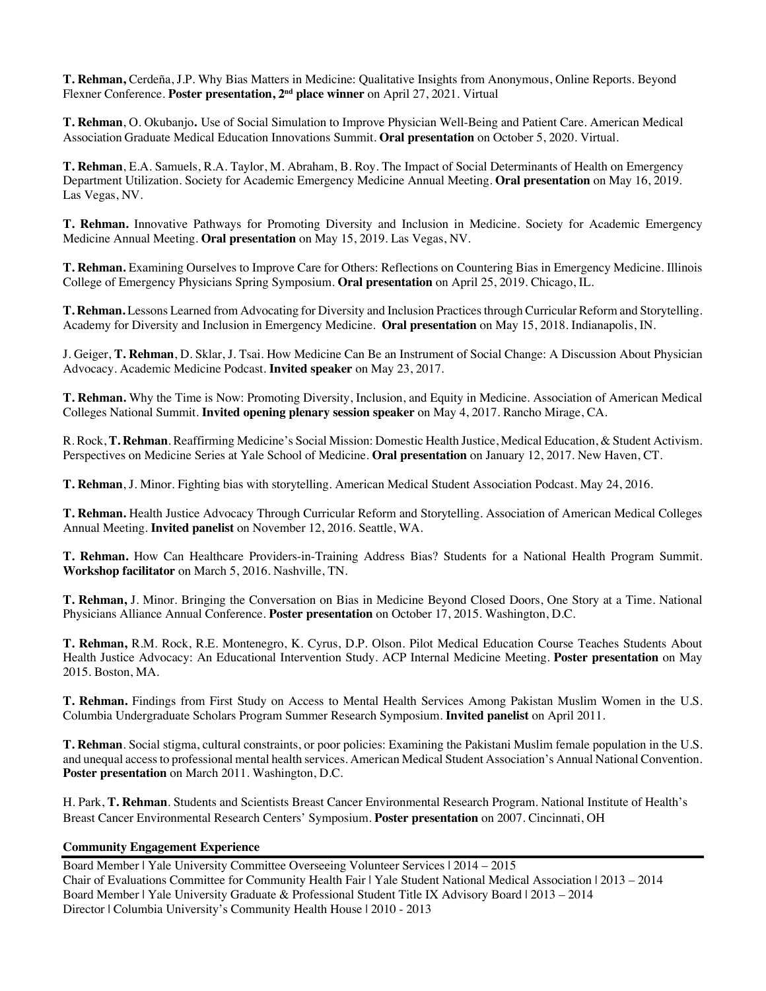**T. Rehman,** Cerdeña, J.P. Why Bias Matters in Medicine: Qualitative Insights from Anonymous, Online Reports. Beyond Flexner Conference. **Poster presentation, 2nd place winner** on April 27, 2021. Virtual

**T. Rehman**, O. Okubanjo**.** Use of Social Simulation to Improve Physician Well-Being and Patient Care. American Medical Association Graduate Medical Education Innovations Summit. **Oral presentation** on October 5, 2020. Virtual.

**T. Rehman**, E.A. Samuels, R.A. Taylor, M. Abraham, B. Roy. The Impact of Social Determinants of Health on Emergency Department Utilization. Society for Academic Emergency Medicine Annual Meeting. **Oral presentation** on May 16, 2019. Las Vegas, NV.

**T. Rehman.** Innovative Pathways for Promoting Diversity and Inclusion in Medicine. Society for Academic Emergency Medicine Annual Meeting. **Oral presentation** on May 15, 2019. Las Vegas, NV.

**T. Rehman.** Examining Ourselves to Improve Care for Others: Reflections on Countering Bias in Emergency Medicine. Illinois College of Emergency Physicians Spring Symposium. **Oral presentation** on April 25, 2019. Chicago, IL.

**T. Rehman.** Lessons Learned from Advocating for Diversity and Inclusion Practices through Curricular Reform and Storytelling. Academy for Diversity and Inclusion in Emergency Medicine. **Oral presentation** on May 15, 2018. Indianapolis, IN.

J. Geiger, **T. Rehman**, D. Sklar, J. Tsai. How Medicine Can Be an Instrument of Social Change: A Discussion About Physician Advocacy. Academic Medicine Podcast. **Invited speaker** on May 23, 2017.

**T. Rehman.** Why the Time is Now: Promoting Diversity, Inclusion, and Equity in Medicine. Association of American Medical Colleges National Summit. **Invited opening plenary session speaker** on May 4, 2017. Rancho Mirage, CA.

R. Rock, **T. Rehman**. Reaffirming Medicine's Social Mission: Domestic Health Justice, Medical Education, & Student Activism. Perspectives on Medicine Series at Yale School of Medicine. **Oral presentation** on January 12, 2017. New Haven, CT.

**T. Rehman**, J. Minor. Fighting bias with storytelling. American Medical Student Association Podcast. May 24, 2016.

**T. Rehman.** Health Justice Advocacy Through Curricular Reform and Storytelling. Association of American Medical Colleges Annual Meeting. **Invited panelist** on November 12, 2016. Seattle, WA.

**T. Rehman.** How Can Healthcare Providers-in-Training Address Bias? Students for a National Health Program Summit. **Workshop facilitator** on March 5, 2016. Nashville, TN.

**T. Rehman,** J. Minor. Bringing the Conversation on Bias in Medicine Beyond Closed Doors, One Story at a Time. National Physicians Alliance Annual Conference. **Poster presentation** on October 17, 2015. Washington, D.C.

**T. Rehman,** R.M. Rock, R.E. Montenegro, K. Cyrus, D.P. Olson. Pilot Medical Education Course Teaches Students About Health Justice Advocacy: An Educational Intervention Study. ACP Internal Medicine Meeting. **Poster presentation** on May 2015. Boston, MA.

**T. Rehman.** Findings from First Study on Access to Mental Health Services Among Pakistan Muslim Women in the U.S. Columbia Undergraduate Scholars Program Summer Research Symposium. **Invited panelist** on April 2011.

**T. Rehman**. Social stigma, cultural constraints, or poor policies: Examining the Pakistani Muslim female population in the U.S. and unequal access to professional mental health services. American Medical Student Association's Annual National Convention. **Poster presentation** on March 2011. Washington, D.C.

H. Park, **T. Rehman**. Students and Scientists Breast Cancer Environmental Research Program. National Institute of Health's Breast Cancer Environmental Research Centers' Symposium. **Poster presentation** on 2007. Cincinnati, OH

## **Community Engagement Experience**

Board Member | Yale University Committee Overseeing Volunteer Services | 2014 – 2015 Chair of Evaluations Committee for Community Health Fair | Yale Student National Medical Association | 2013 – 2014 Board Member | Yale University Graduate & Professional Student Title IX Advisory Board | 2013 – 2014 Director | Columbia University's Community Health House | 2010 - 2013